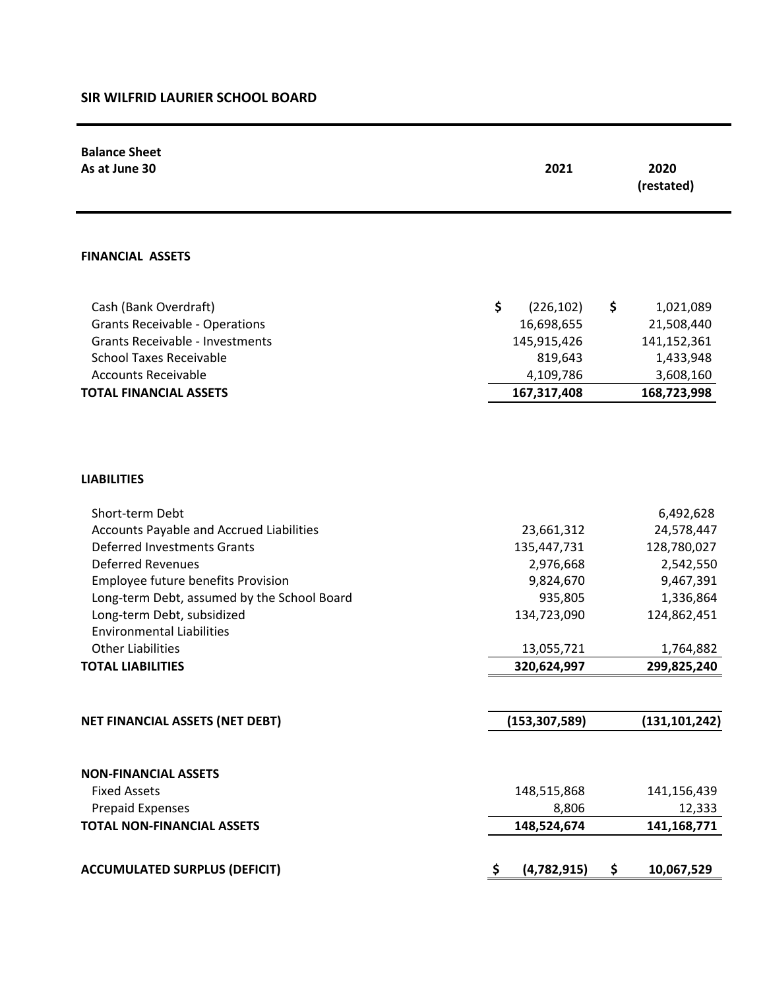## **SIR WILFRID LAURIER SCHOOL BOARD**

| <b>Balance Sheet</b>                                         |                         |                    |  |  |
|--------------------------------------------------------------|-------------------------|--------------------|--|--|
| As at June 30                                                | 2021                    | 2020<br>(restated) |  |  |
|                                                              |                         |                    |  |  |
|                                                              |                         |                    |  |  |
| <b>FINANCIAL ASSETS</b>                                      |                         |                    |  |  |
| Cash (Bank Overdraft)                                        | \$<br>\$<br>(226, 102)  | 1,021,089          |  |  |
| <b>Grants Receivable - Operations</b>                        | 16,698,655              | 21,508,440         |  |  |
| <b>Grants Receivable - Investments</b>                       | 145,915,426             | 141,152,361        |  |  |
| <b>School Taxes Receivable</b>                               | 819,643                 | 1,433,948          |  |  |
| <b>Accounts Receivable</b>                                   | 4,109,786               | 3,608,160          |  |  |
| <b>TOTAL FINANCIAL ASSETS</b>                                | 167,317,408             | 168,723,998        |  |  |
| <b>LIABILITIES</b>                                           |                         |                    |  |  |
|                                                              |                         |                    |  |  |
| Short-term Debt                                              |                         | 6,492,628          |  |  |
| Accounts Payable and Accrued Liabilities                     | 23,661,312              | 24,578,447         |  |  |
| <b>Deferred Investments Grants</b>                           | 135,447,731             | 128,780,027        |  |  |
| <b>Deferred Revenues</b>                                     | 2,976,668               | 2,542,550          |  |  |
| Employee future benefits Provision                           | 9,824,670               | 9,467,391          |  |  |
| Long-term Debt, assumed by the School Board                  | 935,805                 | 1,336,864          |  |  |
| Long-term Debt, subsidized                                   | 134,723,090             | 124,862,451        |  |  |
| <b>Environmental Liabilities</b><br><b>Other Liabilities</b> | 13,055,721              | 1,764,882          |  |  |
| <b>TOTAL LIABILITIES</b>                                     | 320,624,997             | 299,825,240        |  |  |
|                                                              |                         |                    |  |  |
| NET FINANCIAL ASSETS (NET DEBT)                              | (153, 307, 589)         | (131, 101, 242)    |  |  |
|                                                              |                         |                    |  |  |
| <b>NON-FINANCIAL ASSETS</b>                                  |                         |                    |  |  |
| <b>Fixed Assets</b>                                          | 148,515,868             | 141,156,439        |  |  |
| <b>Prepaid Expenses</b>                                      | 8,806                   | 12,333             |  |  |
| <b>TOTAL NON-FINANCIAL ASSETS</b>                            | 148,524,674             | 141,168,771        |  |  |
|                                                              |                         |                    |  |  |
| <b>ACCUMULATED SURPLUS (DEFICIT)</b>                         | (4,782,915)<br>\$<br>-Ş | 10,067,529         |  |  |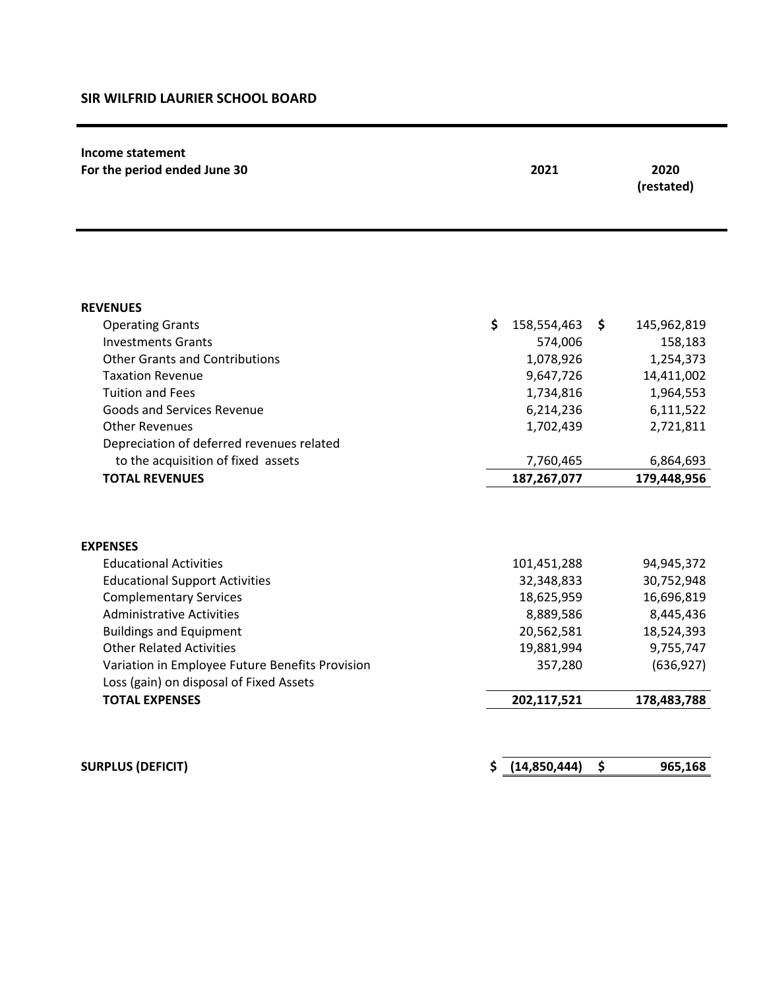## **SIR WILFRID LAURIER SCHOOL BOARD**

| Income statement<br>For the period ended June 30                   | 2021 |                      |    | 2020<br>(restated)   |  |
|--------------------------------------------------------------------|------|----------------------|----|----------------------|--|
|                                                                    |      |                      |    |                      |  |
| <b>REVENUES</b>                                                    |      |                      |    |                      |  |
| <b>Operating Grants</b>                                            | \$   | 158,554,463          | \$ | 145,962,819          |  |
| <b>Investments Grants</b><br><b>Other Grants and Contributions</b> |      | 574,006<br>1,078,926 |    | 158,183<br>1,254,373 |  |
| <b>Taxation Revenue</b>                                            |      | 9,647,726            |    | 14,411,002           |  |
| <b>Tuition and Fees</b>                                            |      | 1,734,816            |    | 1,964,553            |  |
| Goods and Services Revenue                                         |      | 6,214,236            |    | 6,111,522            |  |
| <b>Other Revenues</b>                                              |      | 1,702,439            |    | 2,721,811            |  |
| Depreciation of deferred revenues related                          |      |                      |    |                      |  |
| to the acquisition of fixed assets                                 |      | 7,760,465            |    | 6,864,693            |  |
| <b>TOTAL REVENUES</b>                                              |      | 187,267,077          |    | 179,448,956          |  |
|                                                                    |      |                      |    |                      |  |
| <b>EXPENSES</b>                                                    |      |                      |    |                      |  |
| <b>Educational Activities</b>                                      |      | 101,451,288          |    | 94,945,372           |  |
| <b>Educational Support Activities</b>                              |      | 32,348,833           |    | 30,752,948           |  |
| <b>Complementary Services</b>                                      |      | 18,625,959           |    | 16,696,819           |  |
| <b>Administrative Activities</b>                                   |      | 8,889,586            |    | 8,445,436            |  |
| <b>Buildings and Equipment</b>                                     |      | 20,562,581           |    | 18,524,393           |  |
| <b>Other Related Activities</b>                                    |      | 19,881,994           |    | 9,755,747            |  |
| Variation in Employee Future Benefits Provision                    |      | 357,280              |    | (636, 927)           |  |
| Loss (gain) on disposal of Fixed Assets                            |      |                      |    |                      |  |
| <b>TOTAL EXPENSES</b>                                              |      | 202,117,521          |    | 178,483,788          |  |
|                                                                    |      |                      |    |                      |  |
| <b>SURPLUS (DEFICIT)</b>                                           | S    | (14,850,444)         | \$ | 965,168              |  |